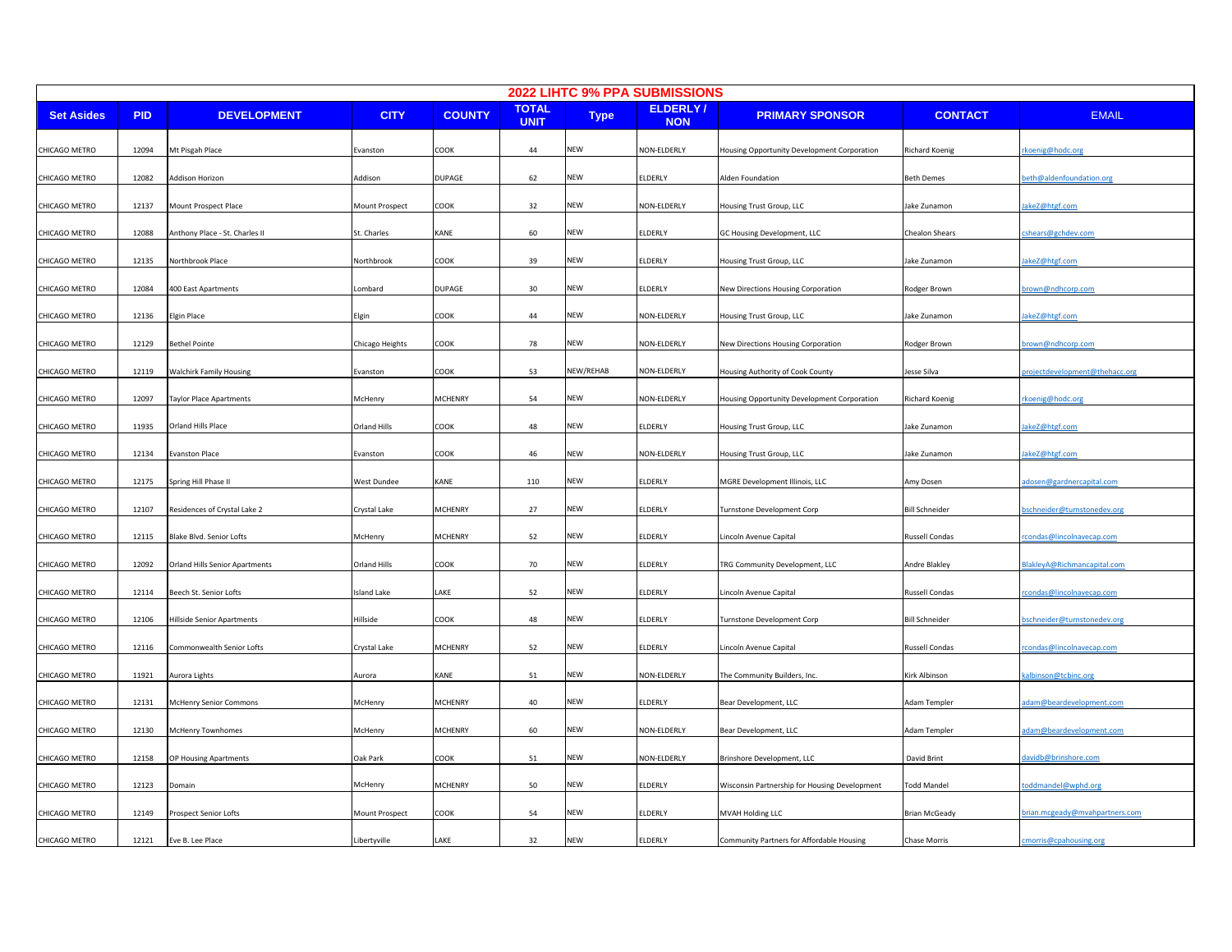|                   | 2022 LIHTC 9% PPA SUBMISSIONS |                                       |                   |                |                             |             |                               |                                               |                       |                                         |  |
|-------------------|-------------------------------|---------------------------------------|-------------------|----------------|-----------------------------|-------------|-------------------------------|-----------------------------------------------|-----------------------|-----------------------------------------|--|
| <b>Set Asides</b> | <b>PID</b>                    | <b>DEVELOPMENT</b>                    | <b>CITY</b>       | <b>COUNTY</b>  | <b>TOTAL</b><br><b>UNIT</b> | <b>Type</b> | <b>ELDERLY/</b><br><b>NON</b> | <b>PRIMARY SPONSOR</b>                        | <b>CONTACT</b>        | <b>EMAIL</b>                            |  |
| CHICAGO METRO     | 12094                         | Mt Pisgah Place                       | Evanston          | COOK           | 44                          | <b>NEW</b>  | NON-ELDERLY                   | Housing Opportunity Development Corporation   | Richard Koenig        | koenig@hodc.org                         |  |
| CHICAGO METRO     | 12082                         | Addison Horizon                       | Addison           | DUPAGE         | 62                          | NEW         | ELDERLY                       | Alden Foundation                              | <b>Beth Demes</b>     | eth@aldenfoundation.org                 |  |
| CHICAGO METRO     | 12137                         | Mount Prospect Place                  | Mount Prospect    | COOK           | 32                          | NEW         | NON-ELDERLY                   | Housing Trust Group, LLC                      | Jake Zunamon          | akeZ@htgf.com                           |  |
| CHICAGO METRO     | 12088                         | Anthony Place - St. Charles II        | St. Charles       | KANE           | 60                          | NEW         | <b>ELDERLY</b>                | GC Housing Development, LLC                   | Chealon Shears        | cshears@gchdev.com                      |  |
| CHICAGO METRO     | 12135                         | Northbrook Place                      | <b>Northbrook</b> | COOK           | 39                          | NEW         | ELDERLY                       | Housing Trust Group, LLC                      | Jake Zunamon          | akeZ@htgf.com                           |  |
| CHICAGO METRO     | 12084                         | 400 East Apartments                   | .ombard           | DUPAGE         | 30                          | NEW         | ELDERLY                       | New Directions Housing Corporation            | Rodger Brown          | rown@ndhcorp.com                        |  |
| CHICAGO METRO     | 12136                         | Elgin Place                           | Elgin             | COOK           | 44                          | NEW         | NON-ELDERLY                   | Housing Trust Group, LLC                      | Jake Zunamon          | akeZ@htgf.com                           |  |
| CHICAGO METRO     | 12129                         | Bethel Pointe                         | Chicago Heights   | COOK           | 78                          | <b>NEW</b>  | NON-ELDERLY                   | New Directions Housing Corporation            | Rodger Brown          | rown@ndhcorp.com                        |  |
| CHICAGO METRO     | 12119                         | Walchirk Family Housing               | Evanston          | COOK           | 53                          | NEW/REHAB   | NON-ELDERLY                   | Housing Authority of Cook County              | Jesse Silva           | <u>roject development @the hacc.org</u> |  |
| CHICAGO METRO     | 12097                         | Taylor Place Apartments               | McHenry           | <b>MCHENRY</b> | 54                          | NEW         | NON-ELDERLY                   | Housing Opportunity Development Corporation   | <b>Richard Koenig</b> | koenig@hodc.org                         |  |
| CHICAGO METRO     | 11935                         | Orland Hills Place                    | Orland Hills      | COOK           | 48                          | NEW         | <b>ELDERLY</b>                | Housing Trust Group, LLC                      | Jake Zunamon          | akeZ@htgf.com                           |  |
| CHICAGO METRO     | 12134                         | vanston Place                         | Evanston          | COOK           | 46                          | NEW         | NON-ELDERLY                   | Housing Trust Group, LLC                      | Jake Zunamon          | akeZ@htgf.com                           |  |
| CHICAGO METRO     | 12175                         | Spring Hill Phase II                  | West Dundee       | KANE           | 110                         | NEW         | ELDERLY                       | MGRE Development Illinois, LLC                | Amy Dosen             | dosen@gardnercapital.com                |  |
| CHICAGO METRO     | 12107                         | Residences of Crystal Lake 2          | Crystal Lake      | <b>MCHENRY</b> | 27                          | NEW         | ELDERLY                       | Turnstone Development Corp                    | <b>Bill Schneider</b> | schneider@turnstonedev.org              |  |
| CHICAGO METRO     | 12115                         | Blake Blvd. Senior Lofts              | McHenry           | <b>MCHENRY</b> | 52                          | NEW         | ELDERLY                       | Lincoln Avenue Capital                        | <b>Russell Condas</b> | condas@lincolnavecap.com                |  |
| CHICAGO METRO     | 12092                         | <b>Orland Hills Senior Apartments</b> | Orland Hills      | COOK           | 70                          | NEW         | ELDERLY                       | TRG Community Development, LLC                | Andre Blakley         | lakleyA@Richmancapital.com              |  |
| CHICAGO METRO     | 12114                         | Beech St. Senior Lofts                | Island Lake       | LAKE           | 52                          | NEW         | ELDERLY                       | Lincoln Avenue Capital                        | Russell Condas        | condas@lincolnavecap.com                |  |
| CHICAGO METRO     | 12106                         | Hillside Senior Apartments            | Hillside          | COOK           | 48                          | NEW         | ELDERLY                       | Turnstone Development Corp                    | <b>Bill Schneider</b> | schneider@turnstonedev.org              |  |
| CHICAGO METRO     | 12116                         | Commonwealth Senior Lofts             | Crystal Lake      | <b>MCHENRY</b> | 52                          | NEW         | ELDERLY                       | Lincoln Avenue Capital                        | Russell Condas        | condas@lincolnavecap.com                |  |
| CHICAGO METRO     | 11921                         | Aurora Lights                         | Aurora            | KANE           | 51                          | NEW         | NON-ELDERLY                   | The Community Builders, Inc.                  | Kirk Albinson         | albinson@tcbinc.org                     |  |
| CHICAGO METRO     | 12131                         | McHenry Senior Commons                | McHenry           | <b>MCHENRY</b> | 40                          | NEW         | ELDERLY                       | Bear Development, LLC                         | Adam Templer          | dam@beardevelopment.com                 |  |
| CHICAGO METRO     | 12130                         | McHenry Townhomes                     | McHenry           | <b>MCHENRY</b> | 60                          | NEW         | NON-ELDERLY                   | Bear Development, LLC                         | Adam Templer          | dam@beardevelopment.com                 |  |
| CHICAGO METRO     | 12158                         | OP Housing Apartments                 | Oak Park          | COOK           | 51                          | NEW         | NON-ELDERLY                   | Brinshore Development, LLC                    | David Brint           | avidb@brinshore.com                     |  |
| CHICAGO METRO     | 12123                         | Domain                                | McHenry           | <b>MCHENRY</b> | 50                          | NEW         | ELDERLY                       | Wisconsin Partnership for Housing Development | <b>Todd Mandel</b>    | oddmandel@wphd.org                      |  |
| CHICAGO METRO     | 12149                         | Prospect Senior Lofts                 | Mount Prospect    | COOK           | 54                          | NEW         | ELDERLY                       | MVAH Holding LLC                              | Brian McGeady         | rian.mcgeady@mvahpartners.com           |  |
| CHICAGO METRO     | 12121                         | Eve B. Lee Place                      | Libertyville      | LAKE           | 32                          | <b>NEW</b>  | ELDERLY                       | Community Partners for Affordable Housing     | Chase Morris          | morris@cpahousing.org                   |  |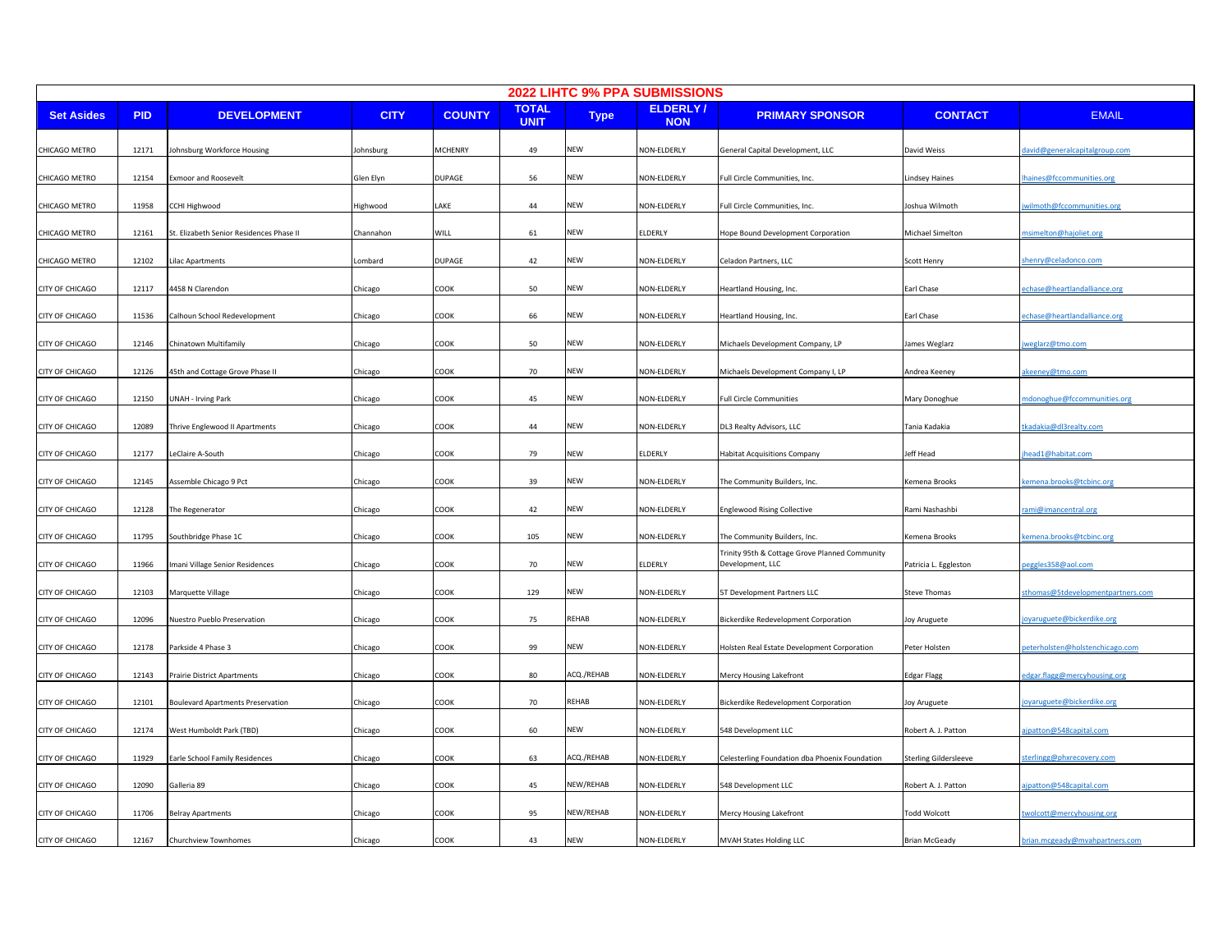| 2022 LIHTC 9% PPA SUBMISSIONS |            |                                          |             |                |                             |             |                               |                                                                    |                              |                                  |
|-------------------------------|------------|------------------------------------------|-------------|----------------|-----------------------------|-------------|-------------------------------|--------------------------------------------------------------------|------------------------------|----------------------------------|
| <b>Set Asides</b>             | <b>PID</b> | <b>DEVELOPMENT</b>                       | <b>CITY</b> | <b>COUNTY</b>  | <b>TOTAL</b><br><b>UNIT</b> | <b>Type</b> | <b>ELDERLY/</b><br><b>NON</b> | <b>PRIMARY SPONSOR</b>                                             | <b>CONTACT</b>               | <b>EMAIL</b>                     |
| CHICAGO METRO                 | 12171      | ohnsburg Workforce Housing               | Johnsburg   | <b>MCHENRY</b> | 49                          | NEW         | NON-ELDERLY                   | General Capital Development, LLC                                   | David Weiss                  | lavid@generalcapitalgroup.com    |
| CHICAGO METRO                 | 12154      | Exmoor and Roosevelt                     | Glen Elyn   | <b>DUPAGE</b>  | 56                          | NEW         | NON-ELDERLY                   | Full Circle Communities, Inc.                                      | <b>Lindsey Haines</b>        | naines@fccommunities.org         |
| CHICAGO METRO                 | 11958      | CCHI Highwood                            | Highwood    | LAKE           | 44                          | NEW         | NON-ELDERLY                   | Full Circle Communities, Inc.                                      | Joshua Wilmoth               | vilmoth@fccommunities.org        |
| CHICAGO METRO                 | 12161      | St. Elizabeth Senior Residences Phase II | Channahon   | WILL           | 61                          | NEW         | ELDERLY                       | Hope Bound Development Corporation                                 | Michael Simelton             | nsimelton@hajoliet.org           |
| CHICAGO METRO                 | 12102      | ilac Apartments                          | Lombard     | DUPAGE         | 42                          | NEW         | NON-ELDERLY                   | Celadon Partners, LLC                                              | Scott Henry                  | henry@celadonco.com              |
| CITY OF CHICAGO               | 12117      | 4458 N Clarendon                         | Chicago     | соок           | 50                          | NEW         | NON-ELDERLY                   | Heartland Housing, Inc.                                            | Earl Chase                   | chase@heartlandalliance.org      |
| CITY OF CHICAGO               | 11536      | Calhoun School Redevelopment             | Chicago     | COOK           | 66                          | NEW         | NON-ELDERLY                   | Heartland Housing, Inc.                                            | Earl Chase                   | echase@heartlandalliance.org     |
| CITY OF CHICAGO               | 12146      | Chinatown Multifamily                    | Chicago     | COOK           | 50                          | NEW         | NON-ELDERLY                   | Michaels Development Company, LP                                   | James Weglarz                | <u>weglarz@tmo.com</u>           |
| CITY OF CHICAGO               | 12126      | 45th and Cottage Grove Phase II          | Chicago     | COOK           | 70                          | NEW         | NON-ELDERLY                   | Michaels Development Company I, LP                                 | Andrea Keeney                | <u>keeney@tmo.com</u>            |
| CITY OF CHICAGO               | 12150      | JNAH - Irving Park                       | Chicago     | COOK           | 45                          | <b>NEW</b>  | NON-ELDERLY                   | <b>Full Circle Communities</b>                                     | Mary Donoghue                | ndonoghue@fccommunities.org      |
| CITY OF CHICAGO               | 12089      | Thrive Englewood II Apartments           | Chicago     | COOK           | 44                          | NEW         | NON-ELDERLY                   | DL3 Realty Advisors, LLC                                           | Tania Kadakia                | kadakia@dl3realty.com            |
| CITY OF CHICAGO               | 12177      | eClaire A-South                          | Chicago     | COOK           | 79                          | <b>NEW</b>  | ELDERLY                       | <b>Habitat Acquisitions Company</b>                                | Jeff Head                    | ead1@habitat.com                 |
| CITY OF CHICAGO               | 12145      | Assemble Chicago 9 Pct                   | Chicago     | COOK           | 39                          | NEW         | NON-ELDERLY                   | The Community Builders, Inc.                                       | Kemena Brooks                | emena.brooks@tcbinc.org          |
| CITY OF CHICAGO               | 12128      | The Regenerator                          | Chicago     | COOK           | 42                          | NEW         | NON-ELDERLY                   | <b>Englewood Rising Collective</b>                                 | Rami Nashashbi               | ami@imancentral.org              |
| CITY OF CHICAGO               | 11795      | Southbridge Phase 1C                     | Chicago     | COOK           | 105                         | NEW         | NON-ELDERLY                   | The Community Builders, Inc.                                       | Kemena Brooks                | emena.brooks@tcbinc.org          |
| CITY OF CHICAGO               | 11966      | mani Village Senior Residences           | Chicago     | COOK           | 70                          | NEW         | ELDERLY                       | Trinity 95th & Cottage Grove Planned Community<br>Development, LLC | Patricia L. Eggleston        | eggles358@aol.com                |
| CITY OF CHICAGO               | 12103      | Marquette Village                        | Chicago     | COOK           | 129                         | <b>NEW</b>  | NON-ELDERLY                   | 5T Development Partners LLC                                        | <b>Steve Thomas</b>          | thomas@5tdevelopmentpartners.com |
| CITY OF CHICAGO               | 12096      | <b>Nuestro Pueblo Preservation</b>       | Chicago     | COOK           | 75                          | REHAB       | NON-ELDERLY                   | Bickerdike Redevelopment Corporation                               | Joy Aruguete                 | oyaruguete@bickerdike.org        |
| CITY OF CHICAGO               | 12178      | Parkside 4 Phase 3                       | Chicago     | COOK           | 99                          | NEW         | NON-ELDERLY                   | Holsten Real Estate Development Corporation                        | Peter Holsten                | eterholsten@holstenchicago.com   |
| CITY OF CHICAGO               | 12143      | Prairie District Apartments              | Chicago     | COOK           | 80                          | ACQ./REHAB  | NON-ELDERLY                   | Mercy Housing Lakefront                                            | Edgar Flagg                  | dgar.flagg@mercyhousing.org      |
| CITY OF CHICAGO               | 12101      | <b>Boulevard Apartments Preservation</b> | Chicago     | COOK           | 70                          | REHAB       | NON-ELDERLY                   | <b>Bickerdike Redevelopment Corporation</b>                        | Joy Aruguete                 | oyaruguete@bickerdike.org        |
| CITY OF CHICAGO               | 12174      | <b>Nest Humboldt Park (TBD)</b>          | Chicago     | COOK           | 60                          | NEW         | NON-ELDERLY                   | 548 Development LLC                                                | Robert A. J. Patton          | jpatton@548capital.com           |
| CITY OF CHICAGO               | 11929      | arle School Family Residences            | Chicago     | COOK           | 63                          | ACQ./REHAB  | NON-ELDERLY                   | Celesterling Foundation dba Phoenix Foundation                     | <b>Sterling Gildersleeve</b> | terlingg@phxrecovery.com         |
| CITY OF CHICAGO               | 12090      | Galleria 89                              | Chicago     | COOK           | 45                          | NEW/REHAB   | NON-ELDERLY                   | 548 Development LLC                                                | Robert A. J. Patton          | jpatton@548capital.com           |
| CITY OF CHICAGO               | 11706      | Belray Apartments                        | Chicago     | соок           | 95                          | NEW/REHAB   | NON-ELDERLY                   | Mercy Housing Lakefront                                            | <b>Fodd Wolcott</b>          | wolcott@mercyhousing.org         |
| CITY OF CHICAGO               | 12167      | Churchview Townhomes                     | Chicago     | COOK           | 43                          | <b>NEW</b>  | NON-ELDERLY                   | <b>MVAH States Holding LLC</b>                                     | <b>Brian McGeady</b>         | brian.mcgeady@mvahpartners.com   |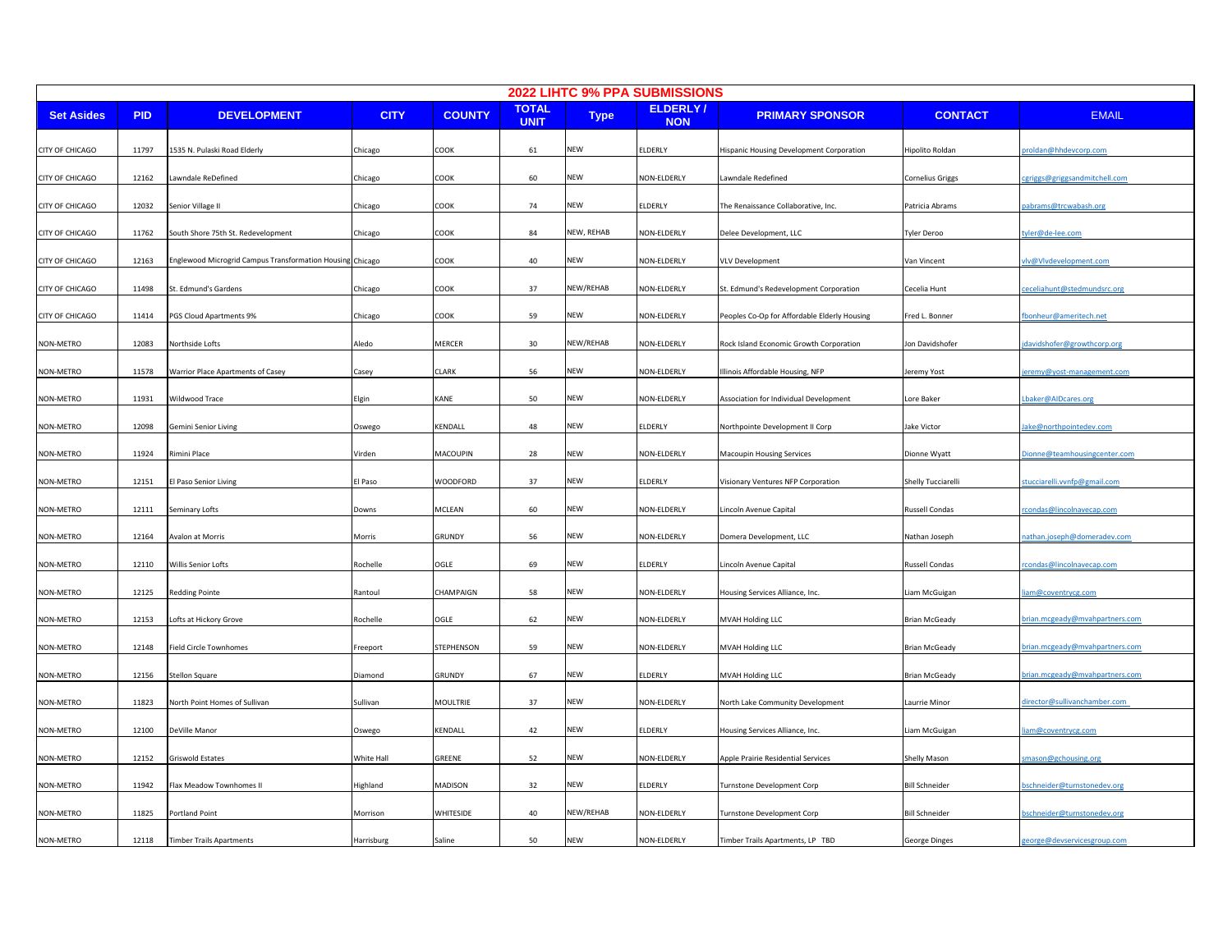| 2022 LIHTC 9% PPA SUBMISSIONS |            |                                                           |             |                 |                             |             |                               |                                              |                         |                               |  |
|-------------------------------|------------|-----------------------------------------------------------|-------------|-----------------|-----------------------------|-------------|-------------------------------|----------------------------------------------|-------------------------|-------------------------------|--|
| <b>Set Asides</b>             | <b>PID</b> | <b>DEVELOPMENT</b>                                        | <b>CITY</b> | <b>COUNTY</b>   | <b>TOTAL</b><br><b>UNIT</b> | <b>Type</b> | <b>ELDERLY/</b><br><b>NON</b> | <b>PRIMARY SPONSOR</b>                       | <b>CONTACT</b>          | <b>EMAIL</b>                  |  |
| CITY OF CHICAGO               | 11797      | 1535 N. Pulaski Road Elderly                              | Chicago     | COOK            | 61                          | NEW         | ELDERLY                       | Hispanic Housing Development Corporation     | Hipolito Roldan         | roldan@hhdevcorp.com          |  |
| CITY OF CHICAGO               | 12162      | Lawndale ReDefined                                        | Chicago     | COOK            | 60                          | NEW         | NON-ELDERLY                   | Lawndale Redefined                           | <b>Cornelius Griggs</b> | :griggs@griggsandmitchell.com |  |
| <b>CITY OF CHICAGO</b>        | 12032      | Senior Village II                                         | Chicago     | COOK            | 74                          | NEW         | <b>ELDERLY</b>                | The Renaissance Collaborative, Inc.          | Patricia Abrams         | abrams@trcwabash.org          |  |
| CITY OF CHICAGO               | 11762      | South Shore 75th St. Redevelopment                        | Chicago     | COOK            | 84                          | NEW, REHAB  | NON-ELDERLY                   | Delee Development, LLC                       | <b>Tyler Deroo</b>      | yler@de-lee.com               |  |
| CITY OF CHICAGO               | 12163      | Englewood Microgrid Campus Transformation Housing Chicago |             | COOK            | 40                          | NEW         | NON-ELDERLY                   | <b>VLV Development</b>                       | Van Vincent             | lv@Vlvdevelopment.com         |  |
| CITY OF CHICAGO               | 11498      | St. Edmund's Gardens                                      | Chicago     | COOK            | 37                          | NEW/REHAB   | NON-ELDERLY                   | St. Edmund's Redevelopment Corporation       | Cecelia Hunt            | eceliahunt@stedmundsrc.org    |  |
| CITY OF CHICAGO               | 11414      | PGS Cloud Apartments 9%                                   | Chicago     | COOK            | 59                          | NEW         | NON-ELDERLY                   | Peoples Co-Op for Affordable Elderly Housing | Fred L. Bonner          | bonheur@ameritech.net         |  |
| NON-METRO                     | 12083      | Northside Lofts                                           | Aledo       | MERCER          | 30                          | NEW/REHAB   | NON-ELDERLY                   | Rock Island Economic Growth Corporation      | Jon Davidshofer         | davidshofer@growthcorp.org    |  |
| NON-METRO                     | 11578      | Warrior Place Apartments of Casey                         | Casey       | <b>CLARK</b>    | 56                          | NEW         | NON-ELDERLY                   | Illinois Affordable Housing, NFP             | Jeremy Yost             | eremy@yost-management.com     |  |
| NON-METRO                     | 11931      | Wildwood Trace                                            | Elgin       | KANE            | 50                          | NEW         | NON-ELDERLY                   | Association for Individual Development       | Lore Baker              | baker@AIDcares.org            |  |
| NON-METRO                     | 12098      | Gemini Senior Living                                      | Oswego      | KENDALL         | 48                          | NEW         | ELDERLY                       | Northpointe Development II Corp              | Jake Victor             | ake@northpointedev.com        |  |
| NON-METRO                     | 11924      | Rimini Place                                              | Virden      | MACOUPIN        | 28                          | NEW         | NON-ELDERLY                   | Macoupin Housing Services                    | Dionne Wyatt            | Dionne@teamhousingcenter.com  |  |
| NON-METRO                     | 12151      | El Paso Senior Living                                     | El Paso     | WOODFORD        | 37                          | NEW         | <b>ELDERLY</b>                | Visionary Ventures NFP Corporation           | Shelly Tucciarelli      | tucciarelli.vvnfp@gmail.com   |  |
| NON-METRO                     | 12111      | Seminary Lofts                                            | Downs       | MCLEAN          | 60                          | NEW         | NON-ELDERLY                   | Lincoln Avenue Capital                       | <b>Russell Condas</b>   | condas@lincolnavecap.com      |  |
| NON-METRO                     | 12164      | Avalon at Morris                                          | Morris      | GRUNDY          | 56                          | NEW         | NON-ELDERLY                   | Domera Development, LLC                      | Nathan Joseph           | athan.joseph@domeradev.com    |  |
| NON-METRO                     | 12110      | Willis Senior Lofts                                       | Rochelle    | OGLE            | 69                          | NEW         | <b>ELDERLY</b>                | Lincoln Avenue Capital                       | <b>Russell Condas</b>   | condas@lincolnavecap.com      |  |
| NON-METRO                     | 12125      | <b>Redding Pointe</b>                                     | Rantoul     | CHAMPAIGN       | 58                          | NEW         | NON-ELDERLY                   | Housing Services Alliance, Inc.              | Liam McGuigan           | am@coventrycg.com             |  |
| NON-METRO                     | 12153      | Lofts at Hickory Grove                                    | Rochelle    | OGLE            | 62                          | <b>NEW</b>  | NON-ELDERLY                   | MVAH Holding LLC                             | <b>Brian McGeady</b>    | rian.mcgeady@mvahpartners.com |  |
| NON-METRO                     | 12148      | Field Circle Townhomes                                    | Freeport    | STEPHENSON      | 59                          | NEW         | NON-ELDERLY                   | MVAH Holding LLC                             | <b>Brian McGeady</b>    | rian.mcgeady@mvahpartners.com |  |
| NON-METRO                     | 12156      | Stellon Square                                            | Diamond     | <b>GRUNDY</b>   | 67                          | NEW         | ELDERLY                       | MVAH Holding LLC                             | <b>Brian McGeady</b>    | rian.mcgeady@mvahpartners.com |  |
| NON-METRO                     | 11823      | North Point Homes of Sullivan                             | Sullivan    | <b>MOULTRIE</b> | 37                          | NEW         | NON-ELDERLY                   | North Lake Community Development             | Laurrie Minor           | director@sullivanchamber.com  |  |
| NON-METRO                     | 12100      | DeVille Manor                                             | Oswego      | KENDALL         | 42                          | NEW         | <b>ELDERLY</b>                | Housing Services Alliance, Inc.              | Liam McGuigan           | am@coventrycg.com             |  |
| NON-METRO                     | 12152      | Griswold Estates                                          | White Hall  | GREENE          | 52                          | NEW         | NON-ELDERLY                   | Apple Prairie Residential Services           | <b>Shelly Mason</b>     | mason@gchousing.org           |  |
| NON-METRO                     | 11942      | Flax Meadow Townhomes II                                  | Highland    | MADISON         | 32                          | <b>NEW</b>  | ELDERLY                       | Turnstone Development Corp                   | <b>Bill Schneider</b>   | schneider@turnstonedev.org    |  |
| NON-METRO                     | 11825      | Portland Point                                            | Morrison    | WHITESIDE       | 40                          | NEW/REHAB   | NON-ELDERLY                   | Turnstone Development Corp                   | <b>Bill Schneider</b>   | schneider@turnstonedev.org    |  |
| NON-METRO                     | 12118      | <b>Timber Trails Apartments</b>                           | Harrisburg  | Saline          | 50                          | NEW         | NON-ELDERLY                   | Timber Trails Apartments, LP TBD             | George Dinges           | george@devservicesgroup.com   |  |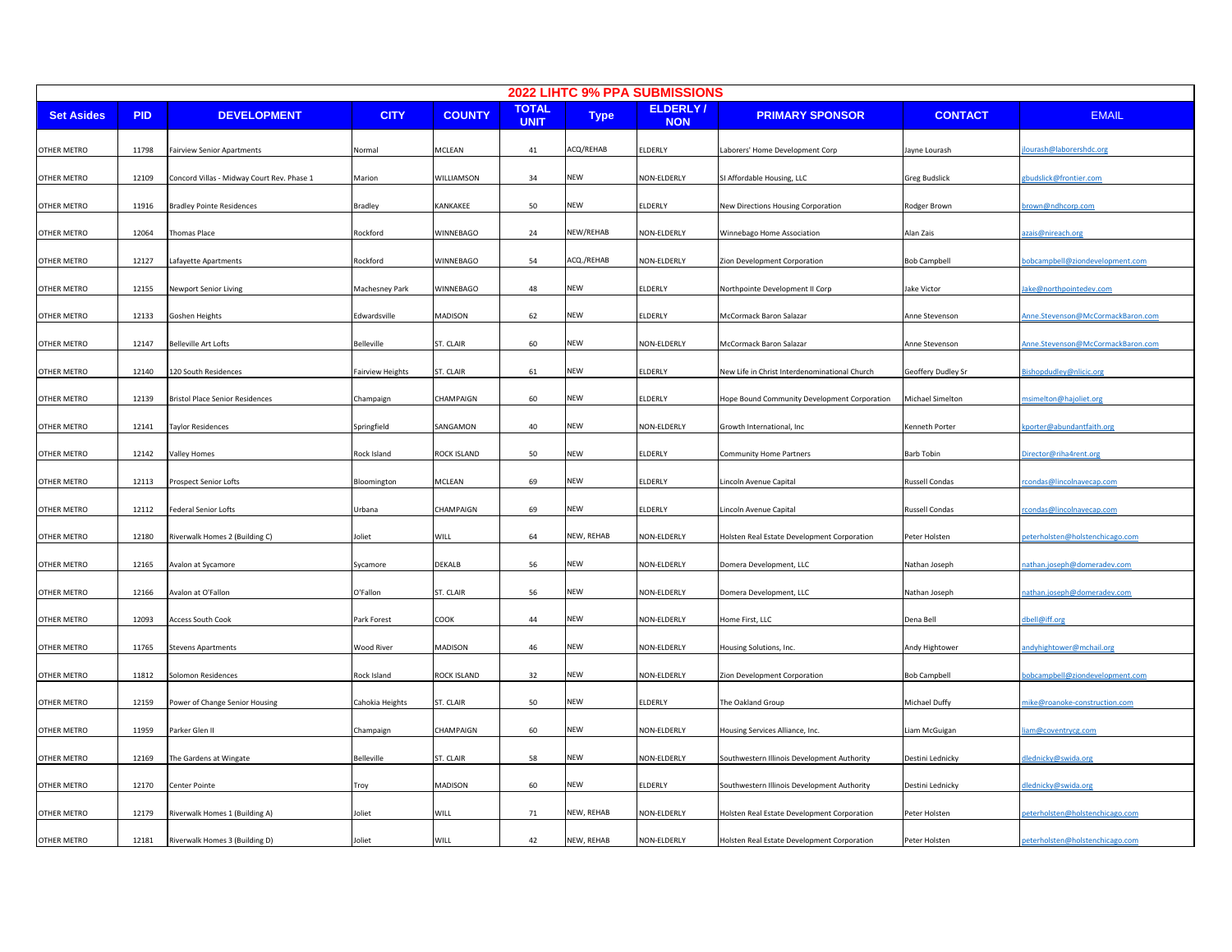| 2022 LIHTC 9% PPA SUBMISSIONS |            |                                            |                         |               |                             |             |                        |                                               |                    |                                   |
|-------------------------------|------------|--------------------------------------------|-------------------------|---------------|-----------------------------|-------------|------------------------|-----------------------------------------------|--------------------|-----------------------------------|
| <b>Set Asides</b>             | <b>PID</b> | <b>DEVELOPMENT</b>                         | <b>CITY</b>             | <b>COUNTY</b> | <b>TOTAL</b><br><b>UNIT</b> | <b>Type</b> | ELDERLY/<br><b>NON</b> | <b>PRIMARY SPONSOR</b>                        | <b>CONTACT</b>     | <b>EMAIL</b>                      |
| OTHER METRO                   | 11798      | Fairview Senior Apartments                 | Normal                  | MCLEAN        | 41                          | ACQ/REHAB   | ELDERLY                | Laborers' Home Development Corp               | Jayne Lourash      | ourash@laborershdc.org            |
| OTHER METRO                   | 12109      | Concord Villas - Midway Court Rev. Phase 1 | Marion                  | WILLIAMSON    | 34                          | NEW         | NON-ELDERLY            | SI Affordable Housing, LLC                    | Greg Budslick      | budslick@frontier.com             |
| OTHER METRO                   | 11916      | <b>Bradley Pointe Residences</b>           | Bradley                 | KANKAKEE      | 50                          | NEW         | ELDERLY                | New Directions Housing Corporation            | Rodger Brown       | rown@ndhcorp.com                  |
| OTHER METRO                   | 12064      | Thomas Place                               | Rockford                | WINNEBAGO     | 24                          | NEW/REHAB   | NON-ELDERLY            | Winnebago Home Association                    | Alan Zais          | zais@nireach.org                  |
| OTHER METRO                   | 12127      | Lafayette Apartments                       | Rockford                | WINNEBAGO     | 54                          | ACQ./REHAB  | NON-ELDERLY            | Zion Development Corporation                  | Bob Campbell       | obcampbell@ziondevelopment.com    |
| OTHER METRO                   | 12155      | Newport Senior Living                      | Machesney Park          | WINNEBAGO     | 48                          | NEW         | ELDERLY                | Northpointe Development II Corp               | lake Victor        | ake@northpointedev.com            |
| OTHER METRO                   | 12133      | Goshen Heights                             | Edwardsville            | MADISON       | 62                          | NEW         | ELDERLY                | McCormack Baron Salazar                       | Anne Stevenson     | Anne.Stevenson@McCormackBaron.com |
| OTHER METRO                   | 12147      | Belleville Art Lofts                       | Belleville              | ST. CLAIR     | 60                          | NEW         | NON-ELDERLY            | McCormack Baron Salazar                       | Anne Stevenson     | nne.Stevenson@McCormackBaron.com  |
| OTHER METRO                   | 12140      | 120 South Residences                       | <b>Fairview Heights</b> | ST. CLAIR     | 61                          | NEW         | ELDERLY                | New Life in Christ Interdenominational Church | Geoffery Dudley Sr | ishopdudley@nlicic.org            |
| OTHER METRO                   | 12139      | Bristol Place Senior Residences            | Champaign               | CHAMPAIGN     | 60                          | NEW         | ELDERLY                | Hope Bound Community Development Corporation  | Michael Simelton   | simelton@hajoliet.org             |
| OTHER METRO                   | 12141      | Taylor Residences                          | Springfield             | SANGAMON      | 40                          | NEW         | NON-ELDERLY            | Growth International, Inc                     | Kenneth Porter     | porter@abundantfaith.org          |
| OTHER METRO                   | 12142      | Valley Homes                               | Rock Island             | ROCK ISLAND   | 50                          | <b>NEW</b>  | ELDERLY                | <b>Community Home Partners</b>                | Barb Tobin         | irector@riha4rent.org             |
| <b>OTHER METRO</b>            | 12113      | Prospect Senior Lofts                      | Bloomington             | MCLEAN        | 69                          | NEW         | ELDERLY                | Lincoln Avenue Capital                        | Russell Condas     | condas@lincolnavecap.com          |
| OTHER METRO                   | 12112      | Federal Senior Lofts                       | Urbana                  | CHAMPAIGN     | 69                          | NEW         | ELDERLY                | Lincoln Avenue Capital                        | Russell Condas     | condas@lincolnavecap.com          |
| OTHER METRO                   | 12180      | Riverwalk Homes 2 (Building C)             | Joliet                  | WILL          | 64                          | NEW, REHAB  | NON-ELDERLY            | Holsten Real Estate Development Corporation   | Peter Holsten      | eterholsten@holstenchicago.com    |
| OTHER METRO                   | 12165      | Avalon at Sycamore                         | Sycamore                | <b>DEKALB</b> | 56                          | NEW         | NON-ELDERLY            | Domera Development, LLC                       | Nathan Joseph      | athan.joseph@domeradev.com        |
| OTHER METRO                   | 12166      | Avalon at O'Fallon                         | O'Fallon                | ST. CLAIR     | 56                          | <b>NEW</b>  | NON-ELDERLY            | Domera Development, LLC                       | Nathan Joseph      | athan.joseph@domeradev.com        |
| OTHER METRO                   | 12093      | <b>Access South Cook</b>                   | Park Forest             | COOK          | 44                          | NEW         | NON-ELDERLY            | Home First, LLC                               | Dena Bell          | lbell@iff.org                     |
| OTHER METRO                   | 11765      | <b>Stevens Apartments</b>                  | <b>Wood River</b>       | MADISON       | 46                          | NEW         | NON-ELDERLY            | Housing Solutions, Inc.                       | Andy Hightower     | ndyhightower@mchail.org           |
| OTHER METRO                   | 11812      | Solomon Residences                         | Rock Island             | ROCK ISLAND   | 32                          | NEW         | NON-ELDERLY            | Zion Development Corporation                  | Bob Campbell       | obcampbell@ziondevelopment.com    |
| OTHER METRO                   | 12159      | Power of Change Senior Housing             | Cahokia Heights         | ST. CLAIR     | 50                          | NEW         | ELDERLY                | The Oakland Group                             | Michael Duffy      | nike@roanoke-construction.com     |
| OTHER METRO                   | 11959      | Parker Glen II                             | Champaign               | CHAMPAIGN     | 60                          | NEW         | NON-ELDERLY            | Housing Services Alliance, Inc.               | Liam McGuigan      | am@coventrycg.com                 |
| OTHER METRO                   | 12169      | The Gardens at Wingate                     | Belleville              | ST. CLAIR     | 58                          | NEW         | NON-ELDERLY            | Southwestern Illinois Development Authority   | Destini Lednicky   | lednicky@swida.org                |
| OTHER METRO                   | 12170      | Center Pointe                              | Troy                    | MADISON       | 60                          | NEW         | ELDERLY                | Southwestern Illinois Development Authority   | Destini Lednicky   | lednicky@swida.org                |
| OTHER METRO                   | 12179      | Riverwalk Homes 1 (Building A)             | Ioliet                  | WILL          | 71                          | NEW, REHAB  | NON-ELDERLY            | Holsten Real Estate Development Corporation   | Peter Holsten      | eterholsten@holstenchicago.com    |
| <b>OTHER METRO</b>            | 12181      | Riverwalk Homes 3 (Building D)             | Joliet                  | <b>WILL</b>   | 42                          | NEW, REHAB  | NON-ELDERLY            | Holsten Real Estate Development Corporation   | Peter Holsten      | peterholsten@holstenchicago.com   |